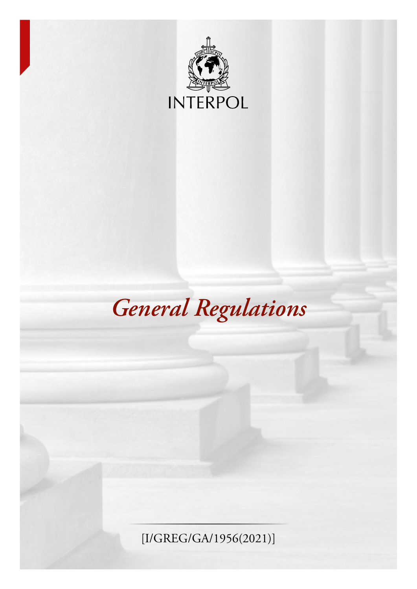

# *General Regulations*

[I/GREG/GA/1956(2021)]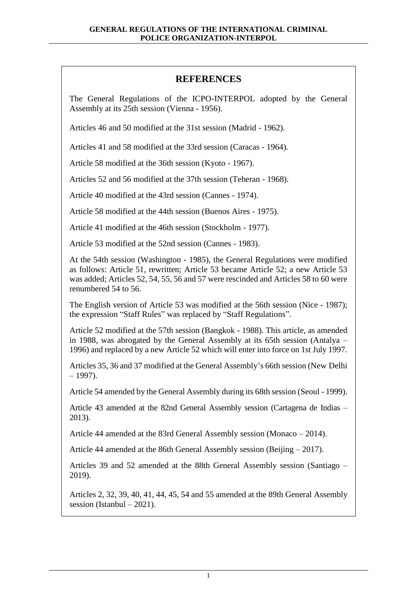# **REFERENCES**

The General Regulations of the ICPO-INTERPOL adopted by the General Assembly at its 25th session (Vienna - 1956).

Articles 46 and 50 modified at the 31st session (Madrid - 1962).

Articles 41 and 58 modified at the 33rd session (Caracas - 1964).

Article 58 modified at the 36th session (Kyoto - 1967).

Articles 52 and 56 modified at the 37th session (Teheran - 1968).

Article 40 modified at the 43rd session (Cannes - 1974).

Article 58 modified at the 44th session (Buenos Aires - 1975).

Article 41 modified at the 46th session (Stockholm - 1977).

Article 53 modified at the 52nd session (Cannes - 1983).

At the 54th session (Washington - 1985), the General Regulations were modified as follows: Article 51, rewritten; Article 53 became Article 52; a new Article 53 was added; Articles 52, 54, 55, 56 and 57 were rescinded and Articles 58 to 60 were renumbered 54 to 56.

The English version of Article 53 was modified at the 56th session (Nice - 1987); the expression "Staff Rules" was replaced by "Staff Regulations".

Article 52 modified at the 57th session (Bangkok - 1988). This article, as amended in 1988, was abrogated by the General Assembly at its 65th session (Antalya – 1996) and replaced by a new Article 52 which will enter into force on 1st July 1997.

Articles 35, 36 and 37 modified at the General Assembly's 66th session (New Delhi  $-1997$ ).

Article 54 amended by the General Assembly during its 68th session (Seoul - 1999).

Article 43 amended at the 82nd General Assembly session (Cartagena de Indias – 2013).

Article 44 amended at the 83rd General Assembly session (Monaco – 2014).

Article 44 amended at the 86th General Assembly session (Beijing – 2017).

Articles 39 and 52 amended at the 88th General Assembly session (Santiago – 2019).

Articles 2, 32, 39, 40, 41, 44, 45, 54 and 55 amended at the 89th General Assembly session (Istanbul – 2021).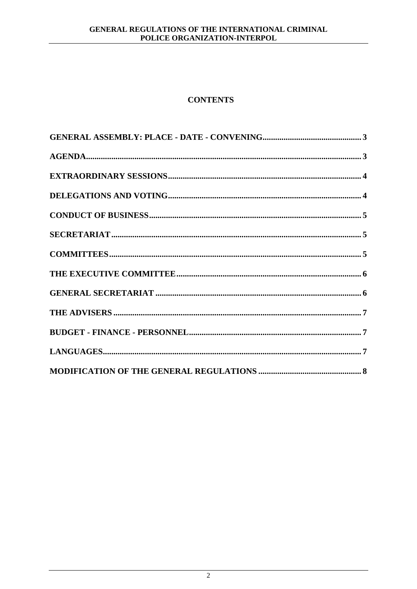## GENERAL REGULATIONS OF THE INTERNATIONAL CRIMINAL POLICE ORGANIZATION-INTERPOL

# **CONTENTS**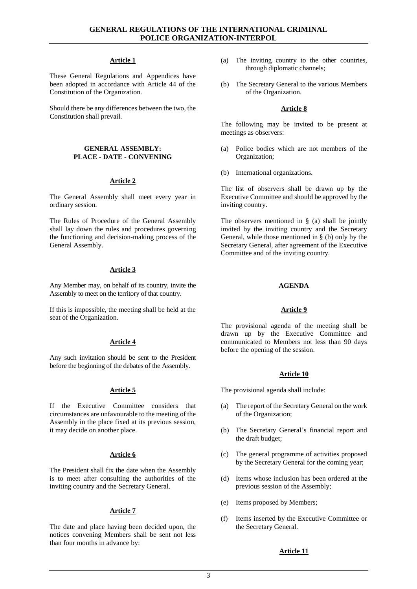#### **Article 1**

These General Regulations and Appendices have been adopted in accordance with Article 44 of the Constitution of the Organization.

Should there be any differences between the two, the Constitution shall prevail.

#### <span id="page-3-0"></span>**GENERAL ASSEMBLY: PLACE - DATE - CONVENING**

## **Article 2**

The General Assembly shall meet every year in ordinary session.

The Rules of Procedure of the General Assembly shall lay down the rules and procedures governing the functioning and decision-making process of the General Assembly.

## **Article 3**

Any Member may, on behalf of its country, invite the Assembly to meet on the territory of that country.

If this is impossible, the meeting shall be held at the seat of the Organization.

#### **Article 4**

Any such invitation should be sent to the President before the beginning of the debates of the Assembly.

#### **Article 5**

If the Executive Committee considers that circumstances are unfavourable to the meeting of the Assembly in the place fixed at its previous session, it may decide on another place.

#### **Article 6**

The President shall fix the date when the Assembly is to meet after consulting the authorities of the inviting country and the Secretary General.

#### **Article 7**

The date and place having been decided upon, the notices convening Members shall be sent not less than four months in advance by:

- (a) The inviting country to the other countries, through diplomatic channels;
- (b) The Secretary General to the various Members of the Organization.

## **Article 8**

The following may be invited to be present at meetings as observers:

- (a) Police bodies which are not members of the Organization;
- (b) International organizations.

The list of observers shall be drawn up by the Executive Committee and should be approved by the inviting country.

The observers mentioned in § (a) shall be jointly invited by the inviting country and the Secretary General, while those mentioned in § (b) only by the Secretary General, after agreement of the Executive Committee and of the inviting country.

#### **AGENDA**

#### **Article 9**

<span id="page-3-1"></span>The provisional agenda of the meeting shall be drawn up by the Executive Committee and communicated to Members not less than 90 days before the opening of the session.

#### **Article 10**

The provisional agenda shall include:

- (a) The report of the Secretary General on the work of the Organization;
- (b) The Secretary General's financial report and the draft budget;
- (c) The general programme of activities proposed by the Secretary General for the coming year;
- (d) Items whose inclusion has been ordered at the previous session of the Assembly;
- (e) Items proposed by Members;
- (f) Items inserted by the Executive Committee or the Secretary General.

## **Article 11**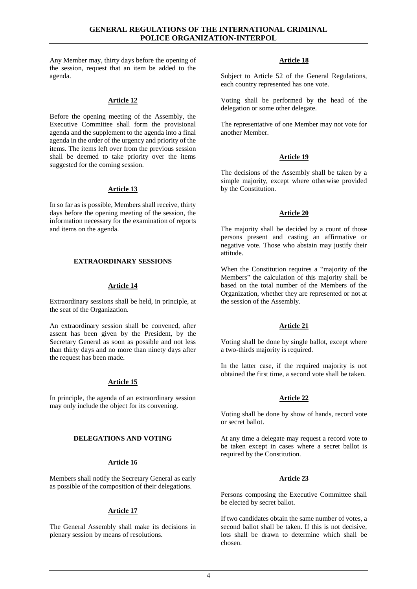Any Member may, thirty days before the opening of the session, request that an item be added to the agenda.

#### **Article 12**

Before the opening meeting of the Assembly, the Executive Committee shall form the provisional agenda and the supplement to the agenda into a final agenda in the order of the urgency and priority of the items. The items left over from the previous session shall be deemed to take priority over the items suggested for the coming session.

## **Article 13**

In so far as is possible, Members shall receive, thirty days before the opening meeting of the session, the information necessary for the examination of reports and items on the agenda.

## <span id="page-4-0"></span>**EXTRAORDINARY SESSIONS**

## **Article 14**

Extraordinary sessions shall be held, in principle, at the seat of the Organization.

An extraordinary session shall be convened, after assent has been given by the President, by the Secretary General as soon as possible and not less than thirty days and no more than ninety days after the request has been made.

## **Article 15**

In principle, the agenda of an extraordinary session may only include the object for its convening.

#### <span id="page-4-1"></span>**DELEGATIONS AND VOTING**

## **Article 16**

Members shall notify the Secretary General as early as possible of the composition of their delegations.

## **Article 17**

The General Assembly shall make its decisions in plenary session by means of resolutions.

## **Article 18**

Subject to Article 52 of the General Regulations, each country represented has one vote.

Voting shall be performed by the head of the delegation or some other delegate.

The representative of one Member may not vote for another Member.

## **Article 19**

The decisions of the Assembly shall be taken by a simple majority, except where otherwise provided by the Constitution.

#### **Article 20**

The majority shall be decided by a count of those persons present and casting an affirmative or negative vote. Those who abstain may justify their attitude.

When the Constitution requires a "majority of the Members" the calculation of this majority shall be based on the total number of the Members of the Organization, whether they are represented or not at the session of the Assembly.

#### **Article 21**

Voting shall be done by single ballot, except where a two-thirds majority is required.

In the latter case, if the required majority is not obtained the first time, a second vote shall be taken.

#### **Article 22**

Voting shall be done by show of hands, record vote or secret ballot.

At any time a delegate may request a record vote to be taken except in cases where a secret ballot is required by the Constitution.

## **Article 23**

Persons composing the Executive Committee shall be elected by secret ballot.

If two candidates obtain the same number of votes, a second ballot shall be taken. If this is not decisive, lots shall be drawn to determine which shall be chosen.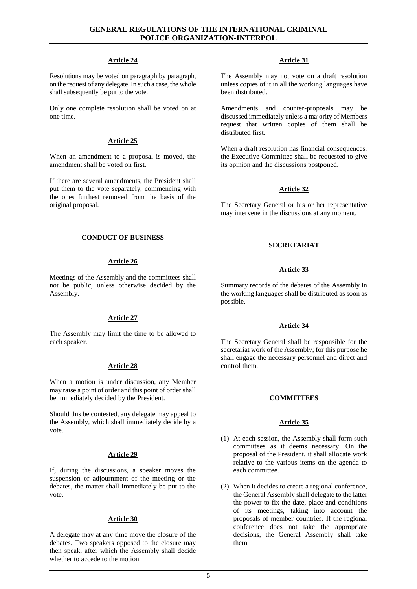## **GENERAL REGULATIONS OF THE INTERNATIONAL CRIMINAL POLICE ORGANIZATION-INTERPOL**

## **Article 24**

Resolutions may be voted on paragraph by paragraph, on the request of any delegate. In such a case, the whole shall subsequently be put to the vote.

Only one complete resolution shall be voted on at one time.

## **Article 25**

When an amendment to a proposal is moved, the amendment shall be voted on first.

If there are several amendments, the President shall put them to the vote separately, commencing with the ones furthest removed from the basis of the original proposal.

## <span id="page-5-0"></span>**CONDUCT OF BUSINESS**

## **Article 26**

Meetings of the Assembly and the committees shall not be public, unless otherwise decided by the Assembly.

## **Article 27**

The Assembly may limit the time to be allowed to each speaker.

## **Article 28**

When a motion is under discussion, any Member may raise a point of order and this point of order shall be immediately decided by the President.

Should this be contested, any delegate may appeal to the Assembly, which shall immediately decide by a vote.

## **Article 29**

If, during the discussions, a speaker moves the suspension or adjournment of the meeting or the debates, the matter shall immediately be put to the vote.

## **Article 30**

A delegate may at any time move the closure of the debates. Two speakers opposed to the closure may then speak, after which the Assembly shall decide whether to accede to the motion.

## **Article 31**

The Assembly may not vote on a draft resolution unless copies of it in all the working languages have been distributed.

Amendments and counter-proposals may be discussed immediately unless a majority of Members request that written copies of them shall be distributed first.

When a draft resolution has financial consequences, the Executive Committee shall be requested to give its opinion and the discussions postponed.

## **Article 32**

<span id="page-5-1"></span>The Secretary General or his or her representative may intervene in the discussions at any moment.

## **SECRETARIAT**

## **Article 33**

Summary records of the debates of the Assembly in the working languages shall be distributed as soon as possible.

#### **Article 34**

The Secretary General shall be responsible for the secretariat work of the Assembly; for this purpose he shall engage the necessary personnel and direct and control them.

## **COMMITTEES**

#### **Article 35**

- <span id="page-5-2"></span>(1) At each session, the Assembly shall form such committees as it deems necessary. On the proposal of the President, it shall allocate work relative to the various items on the agenda to each committee.
- (2) When it decides to create a regional conference, the General Assembly shall delegate to the latter the power to fix the date, place and conditions of its meetings, taking into account the proposals of member countries. If the regional conference does not take the appropriate decisions, the General Assembly shall take them.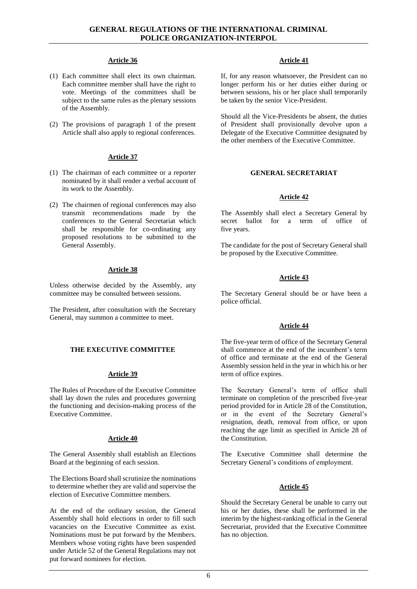#### **Article 36**

- (1) Each committee shall elect its own chairman. Each committee member shall have the right to vote. Meetings of the committees shall be subject to the same rules as the plenary sessions of the Assembly.
- (2) The provisions of paragraph 1 of the present Article shall also apply to regional conferences.

## **Article 37**

- (1) The chairman of each committee or a reporter nominated by it shall render a verbal account of its work to the Assembly.
- (2) The chairmen of regional conferences may also transmit recommendations made by the conferences to the General Secretariat which shall be responsible for co-ordinating any proposed resolutions to be submitted to the General Assembly.

## **Article 38**

Unless otherwise decided by the Assembly, any committee may be consulted between sessions.

The President, after consultation with the Secretary General, may summon a committee to meet.

## <span id="page-6-0"></span>**THE EXECUTIVE COMMITTEE**

#### **Article 39**

The Rules of Procedure of the Executive Committee shall lay down the rules and procedures governing the functioning and decision-making process of the Executive Committee.

#### **Article 40**

The General Assembly shall establish an Elections Board at the beginning of each session.

The Elections Board shall scrutinize the nominations to determine whether they are valid and supervise the election of Executive Committee members.

At the end of the ordinary session, the General Assembly shall hold elections in order to fill such vacancies on the Executive Committee as exist. Nominations must be put forward by the Members. Members whose voting rights have been suspended under Article 52 of the General Regulations may not put forward nominees for election.

#### **Article 41**

If, for any reason whatsoever, the President can no longer perform his or her duties either during or between sessions, his or her place shall temporarily be taken by the senior Vice-President.

Should all the Vice-Presidents be absent, the duties of President shall provisionally devolve upon a Delegate of the Executive Committee designated by the other members of the Executive Committee.

## <span id="page-6-1"></span>**GENERAL SECRETARIAT**

## **Article 42**

The Assembly shall elect a Secretary General by secret ballot for a term of office of five years.

The candidate for the post of Secretary General shall be proposed by the Executive Committee.

## **Article 43**

The Secretary General should be or have been a police official.

#### **Article 44**

The five-year term of office of the Secretary General shall commence at the end of the incumbent's term of office and terminate at the end of the General Assembly session held in the year in which his or her term of office expires.

The Secretary General's term of office shall terminate on completion of the prescribed five-year period provided for in Article 28 of the Constitution, or in the event of the Secretary General's resignation, death, removal from office, or upon reaching the age limit as specified in Article 28 of the Constitution.

The Executive Committee shall determine the Secretary General's conditions of employment.

## **Article 45**

Should the Secretary General be unable to carry out his or her duties, these shall be performed in the interim by the highest-ranking official in the General Secretariat, provided that the Executive Committee has no objection.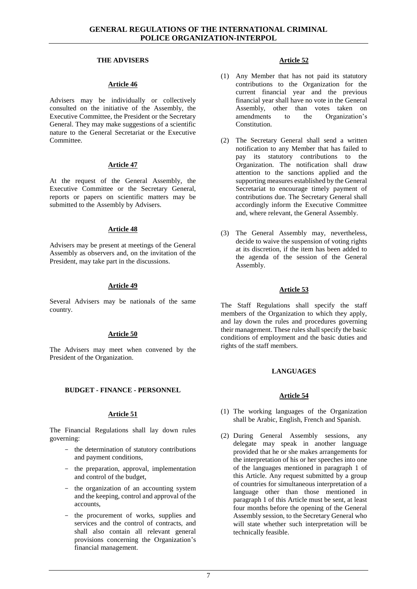## **THE ADVISERS**

#### **Article 46**

<span id="page-7-0"></span>Advisers may be individually or collectively consulted on the initiative of the Assembly, the Executive Committee, the President or the Secretary General. They may make suggestions of a scientific nature to the General Secretariat or the Executive Committee.

## **Article 47**

At the request of the General Assembly, the Executive Committee or the Secretary General, reports or papers on scientific matters may be submitted to the Assembly by Advisers.

## **Article 48**

Advisers may be present at meetings of the General Assembly as observers and, on the invitation of the President, may take part in the discussions.

## **Article 49**

Several Advisers may be nationals of the same country.

## **Article 50**

The Advisers may meet when convened by the President of the Organization.

## <span id="page-7-1"></span>**BUDGET - FINANCE - PERSONNEL**

## **Article 51**

The Financial Regulations shall lay down rules governing:

- the determination of statutory contributions and payment conditions,
- the preparation, approval, implementation and control of the budget,
- the organization of an accounting system and the keeping, control and approval of the accounts,
- the procurement of works, supplies and services and the control of contracts, and shall also contain all relevant general provisions concerning the Organization's financial management.

## **Article 52**

- (1) Any Member that has not paid its statutory contributions to the Organization for the current financial year and the previous financial year shall have no vote in the General Assembly, other than votes taken on amendments to the Organization's Constitution.
- (2) The Secretary General shall send a written notification to any Member that has failed to pay its statutory contributions to the Organization. The notification shall draw attention to the sanctions applied and the supporting measures established by the General Secretariat to encourage timely payment of contributions due. The Secretary General shall accordingly inform the Executive Committee and, where relevant, the General Assembly.
- (3) The General Assembly may, nevertheless, decide to waive the suspension of voting rights at its discretion, if the item has been added to the agenda of the session of the General Assembly.

## **Article 53**

<span id="page-7-2"></span>The Staff Regulations shall specify the staff members of the Organization to which they apply, and lay down the rules and procedures governing their management. These rules shall specify the basic conditions of employment and the basic duties and rights of the staff members.

## **LANGUAGES**

#### **Article 54**

- (1) The working languages of the Organization shall be Arabic, English, French and Spanish.
- (2) During General Assembly sessions, any delegate may speak in another language provided that he or she makes arrangements for the interpretation of his or her speeches into one of the languages mentioned in paragraph 1 of this Article. Any request submitted by a group of countries for simultaneous interpretation of a language other than those mentioned in paragraph 1 of this Article must be sent, at least four months before the opening of the General Assembly session, to the Secretary General who will state whether such interpretation will be technically feasible.